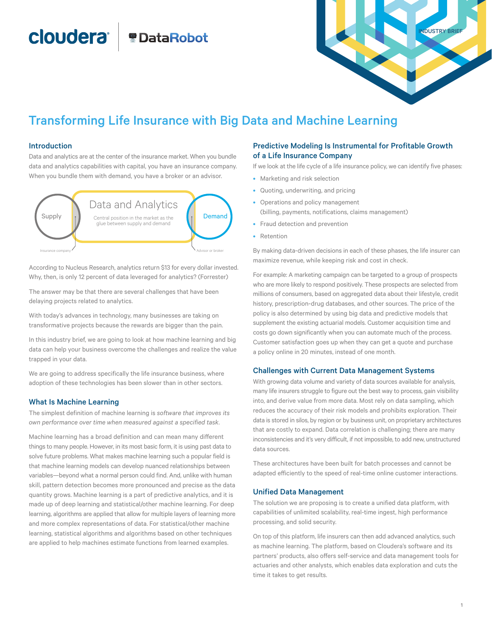### cloudera<sup>®</sup> **DataRobot**



## Transforming Life Insurance with Big Data and Machine Learning

### Introduction

Data and analytics are at the center of the insurance market. When you bundle data and analytics capabilities with capital, you have an insurance company. When you bundle them with demand, you have a broker or an advisor.



According to Nucleus Research, analytics return \$13 for every dollar invested. Why, then, is only 12 percent of data leveraged for analytics? (Forrester)

The answer may be that there are several challenges that have been delaying projects related to analytics.

With today's advances in technology, many businesses are taking on transformative projects because the rewards are bigger than the pain.

In this industry brief, we are going to look at how machine learning and big data can help your business overcome the challenges and realize the value trapped in your data.

We are going to address specifically the life insurance business, where adoption of these technologies has been slower than in other sectors.

### What Is Machine Learning

The simplest definition of machine learning is *software that improves its own performance over time when measured against a specified task*.

Machine learning has a broad definition and can mean many different things to many people. However, in its most basic form, it is using past data to solve future problems. What makes machine learning such a popular field is that machine learning models can develop nuanced relationships between variables—beyond what a normal person could find. And, unlike with human skill, pattern detection becomes more pronounced and precise as the data quantity grows. Machine learning is a part of predictive analytics, and it is made up of deep learning and statistical/other machine learning. For deep learning, algorithms are applied that allow for multiple layers of learning more and more complex representations of data. For statistical/other machine learning, statistical algorithms and algorithms based on other techniques are applied to help machines estimate functions from learned examples.

### Predictive Modeling Is Instrumental for Profitable Growth of a Life Insurance Company

If we look at the life cycle of a life insurance policy, we can identify five phases:

- Marketing and risk selection
- Quoting, underwriting, and pricing
- Operations and policy management (billing, payments, notifications, claims management)
- Fraud detection and prevention
- Retention

By making data-driven decisions in each of these phases, the life insurer can maximize revenue, while keeping risk and cost in check.

For example: A marketing campaign can be targeted to a group of prospects who are more likely to respond positively. These prospects are selected from millions of consumers, based on aggregated data about their lifestyle, credit history, prescription-drug databases, and other sources. The price of the policy is also determined by using big data and predictive models that supplement the existing actuarial models. Customer acquisition time and costs go down significantly when you can automate much of the process. Customer satisfaction goes up when they can get a quote and purchase a policy online in 20 minutes, instead of one month.

### Challenges with Current Data Management Systems

With growing data volume and variety of data sources available for analysis, many life insurers struggle to figure out the best way to process, gain visibility into, and derive value from more data. Most rely on data sampling, which reduces the accuracy of their risk models and prohibits exploration. Their data is stored in silos, by region or by business unit, on proprietary architectures that are costly to expand. Data correlation is challenging; there are many inconsistencies and it's very difficult, if not impossible, to add new, unstructured data sources.

These architectures have been built for batch processes and cannot be adapted efficiently to the speed of real-time online customer interactions.

### Unified Data Management

The solution we are proposing is to create a unified data platform, with capabilities of unlimited scalability, real-time ingest, high performance processing, and solid security.

On top of this platform, life insurers can then add advanced analytics, such as machine learning. The platform, based on Cloudera's software and its partners' products, also offers self-service and data management tools for actuaries and other analysts, which enables data exploration and cuts the time it takes to get results.